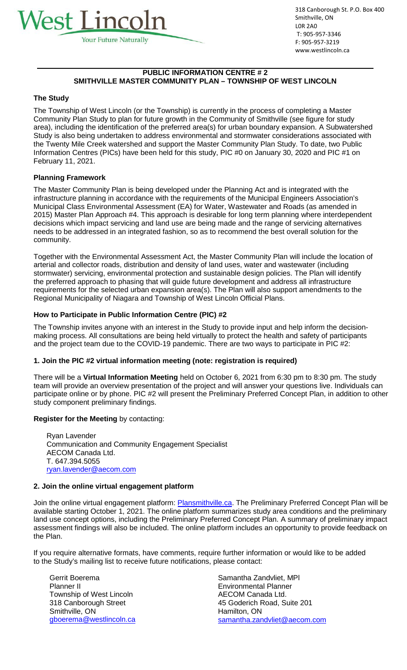

318 Canborough St. P.O. Box 400 Smithville, ON L0R 2A0 T: 905-957-3346 F: 905-957-3219 [www.westlincoln.ca](http://www.westlincoln.ca/)

# **PUBLIC INFORMATION CENTRE # 2 SMITHVILLE MASTER COMMUNITY PLAN – TOWNSHIP OF WEST LINCOLN**

# **The Study**

The Township of West Lincoln (or the Township) is currently in the process of completing a Master Community Plan Study to plan for future growth in the Community of Smithville (see figure for study area), including the identification of the preferred area(s) for urban boundary expansion. A Subwatershed Study is also being undertaken to address environmental and stormwater considerations associated with the Twenty Mile Creek watershed and support the Master Community Plan Study. To date, two Public Information Centres (PICs) have been held for this study, PIC #0 on January 30, 2020 and PIC #1 on February 11, 2021.

#### **Planning Framework**

The Master Community Plan is being developed under the Planning Act and is integrated with the infrastructure planning in accordance with the requirements of the Municipal Engineers Association's Municipal Class Environmental Assessment (EA) for Water, Wastewater and Roads (as amended in 2015) Master Plan Approach #4. This approach is desirable for long term planning where interdependent decisions which impact servicing and land use are being made and the range of servicing alternatives needs to be addressed in an integrated fashion, so as to recommend the best overall solution for the community.

Together with the Environmental Assessment Act, the Master Community Plan will include the location of arterial and collector roads, distribution and density of land uses, water and wastewater (including stormwater) servicing, environmental protection and sustainable design policies. The Plan will identify the preferred approach to phasing that will guide future development and address all infrastructure requirements for the selected urban expansion area(s). The Plan will also support amendments to the Regional Municipality of Niagara and Township of West Lincoln Official Plans.

# **How to Participate in Public Information Centre (PIC) #2**

The Township invites anyone with an interest in the Study to provide input and help inform the decisionmaking process. All consultations are being held virtually to protect the health and safety of participants and the project team due to the COVID-19 pandemic. There are two ways to participate in PIC #2:

# **1. Join the PIC #2 virtual information meeting (note: registration is required)**

There will be a **Virtual Information Meeting** held on October 6, 2021 from 6:30 pm to 8:30 pm. The study team will provide an overview presentation of the project and will answer your questions live. Individuals can participate online or by phone. PIC #2 will present the Preliminary Preferred Concept Plan, in addition to other study component preliminary findings.

# **Register for the Meeting** by contacting:

Ryan Lavender Communication and Community Engagement Specialist AECOM Canada Ltd. T. 647.394.5055 [ryan.lavender@aecom.com](mailto:ryan.lavender@aecom.com)

#### **2. Join the online virtual engagement platform**

Join the online virtual engagement platform: [Plansmithville.ca.](http://plansmithville.ca/) The Preliminary Preferred Concept Plan will be available starting October 1, 2021. The online platform summarizes study area conditions and the preliminary land use concept options, including the Preliminary Preferred Concept Plan. A summary of preliminary impact assessment findings will also be included. The online platform includes an opportunity to provide feedback on the Plan.

If you require alternative formats, have comments, require further information or would like to be added to the Study's mailing list to receive future notifications, please contact:

Gerrit Boerema Planner II Township of West Lincoln 318 Canborough Street Smithville, ON [gboerema@westlincoln.ca](mailto:gboerema@westlincoln.ca) Samantha Zandvliet, MPl Environmental Planner AECOM Canada Ltd. 45 Goderich Road, Suite 201 Hamilton, ON [samantha.zandvliet@aecom.com](mailto:samantha.zandvliet@aecom.com)